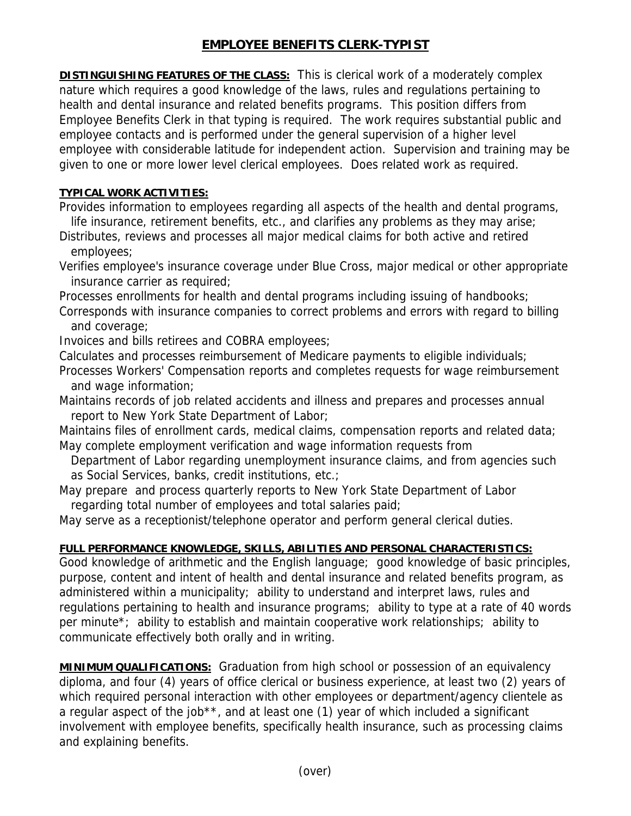## **EMPLOYEE BENEFITS CLERK-TYPIST**

**DISTINGUISHING FEATURES OF THE CLASS:** This is clerical work of a moderately complex nature which requires a good knowledge of the laws, rules and regulations pertaining to health and dental insurance and related benefits programs. This position differs from Employee Benefits Clerk in that typing is required. The work requires substantial public and employee contacts and is performed under the general supervision of a higher level employee with considerable latitude for independent action. Supervision and training may be given to one or more lower level clerical employees. Does related work as required.

## **TYPICAL WORK ACTIVITIES:**

Provides information to employees regarding all aspects of the health and dental programs, life insurance, retirement benefits, etc., and clarifies any problems as they may arise;

Distributes, reviews and processes all major medical claims for both active and retired employees;

Verifies employee's insurance coverage under Blue Cross, major medical or other appropriate insurance carrier as required;

Processes enrollments for health and dental programs including issuing of handbooks;

Corresponds with insurance companies to correct problems and errors with regard to billing and coverage;

Invoices and bills retirees and COBRA employees;

Calculates and processes reimbursement of Medicare payments to eligible individuals;

Processes Workers' Compensation reports and completes requests for wage reimbursement and wage information;

Maintains records of job related accidents and illness and prepares and processes annual report to New York State Department of Labor;

Maintains files of enrollment cards, medical claims, compensation reports and related data; May complete employment verification and wage information requests from

 Department of Labor regarding unemployment insurance claims, and from agencies such as Social Services, banks, credit institutions, etc.;

May prepare and process quarterly reports to New York State Department of Labor regarding total number of employees and total salaries paid;

May serve as a receptionist/telephone operator and perform general clerical duties.

## **FULL PERFORMANCE KNOWLEDGE, SKILLS, ABILITIES AND PERSONAL CHARACTERISTICS:**

Good knowledge of arithmetic and the English language; good knowledge of basic principles, purpose, content and intent of health and dental insurance and related benefits program, as administered within a municipality; ability to understand and interpret laws, rules and regulations pertaining to health and insurance programs; ability to type at a rate of 40 words per minute\*; ability to establish and maintain cooperative work relationships; ability to communicate effectively both orally and in writing.

**MINIMUM QUALIFICATIONS:** Graduation from high school or possession of an equivalency diploma, and four (4) years of office clerical or business experience, at least two (2) years of which required personal interaction with other employees or department/agency clientele as a regular aspect of the job\*\*, and at least one (1) year of which included a significant involvement with employee benefits, specifically health insurance, such as processing claims and explaining benefits.